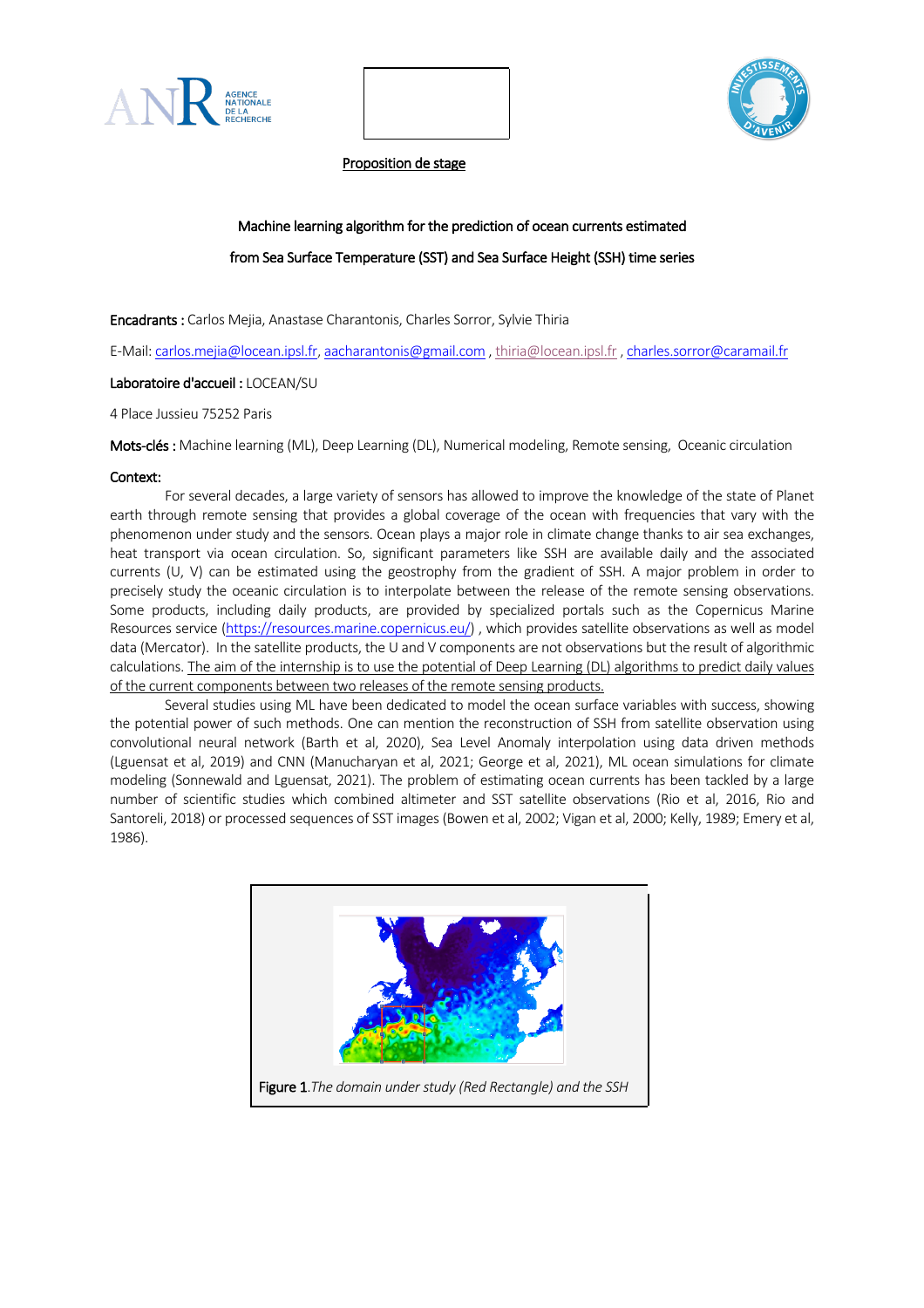



Proposition de stage

# Machine learning algorithm for the prediction of ocean currents estimated from Sea Surface Temperature (SST) and Sea Surface Height (SSH) time series

Encadrants : Carlos Mejia, Anastase Charantonis, Charles Sorror, Sylvie Thiria

E-Mail: carlos.mejia@locean.ipsl.fr, aacharantonis@gmail.com , thiria@locean.ipsl.fr , charles.sorror@caramail.fr

# Laboratoire d'accueil : LOCEAN/SU

4 Place Jussieu 75252 Paris

Mots-clés : Machine learning (ML), Deep Learning (DL), Numerical modeling, Remote sensing, Oceanic circulation

# Context:

For several decades, a large variety of sensors has allowed to improve the knowledge of the state of Planet earth through remote sensing that provides a global coverage of the ocean with frequencies that vary with the phenomenon under study and the sensors. Ocean plays a major role in climate change thanks to air sea exchanges, heat transport via ocean circulation. So, significant parameters like SSH are available daily and the associated currents (U, V) can be estimated using the geostrophy from the gradient of SSH. A major problem in order to precisely study the oceanic circulation is to interpolate between the release of the remote sensing observations. Some products, including daily products, are provided by specialized portals such as the Copernicus Marine Resources service (https://resources.marine.copernicus.eu/) , which provides satellite observations as well as model data (Mercator). In the satellite products, the U and V components are not observations but the result of algorithmic calculations. The aim of the internship is to use the potential of Deep Learning (DL) algorithms to predict daily values of the current components between two releases of the remote sensing products.

Several studies using ML have been dedicated to model the ocean surface variables with success, showing the potential power of such methods. One can mention the reconstruction of SSH from satellite observation using convolutional neural network (Barth et al, 2020), Sea Level Anomaly interpolation using data driven methods (Lguensat et al, 2019) and CNN (Manucharyan et al, 2021; George et al, 2021), ML ocean simulations for climate modeling (Sonnewald and Lguensat, 2021). The problem of estimating ocean currents has been tackled by a large number of scientific studies which combined altimeter and SST satellite observations (Rio et al, 2016, Rio and Santoreli, 2018) or processed sequences of SST images (Bowen et al, 2002; Vigan et al, 2000; Kelly, 1989; Emery et al, 1986).